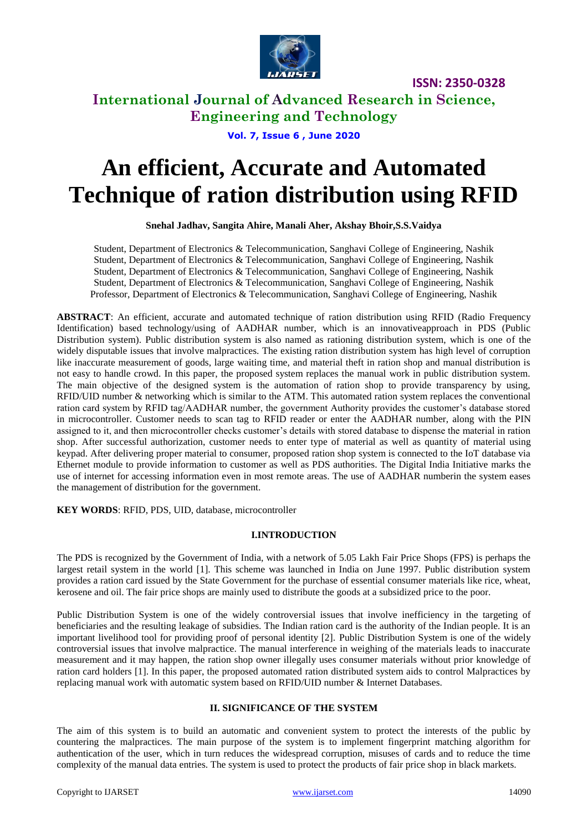

## **International Journal of Advanced Research in Science, Engineering and Technology**

**Vol. 7, Issue 6 , June 2020**

# **An efficient, Accurate and Automated Technique of ration distribution using RFID**

**Snehal Jadhav, Sangita Ahire, Manali Aher, Akshay Bhoir,S.S.Vaidya**

Student, Department of Electronics & Telecommunication, Sanghavi College of Engineering, Nashik Student, Department of Electronics & Telecommunication, Sanghavi College of Engineering, Nashik Student, Department of Electronics & Telecommunication, Sanghavi College of Engineering, Nashik Student, Department of Electronics & Telecommunication, Sanghavi College of Engineering, Nashik Professor, Department of Electronics & Telecommunication, Sanghavi College of Engineering, Nashik

**ABSTRACT**: An efficient, accurate and automated technique of ration distribution using RFID (Radio Frequency Identification) based technology/using of AADHAR number, which is an innovativeapproach in PDS (Public Distribution system). Public distribution system is also named as rationing distribution system, which is one of the widely disputable issues that involve malpractices. The existing ration distribution system has high level of corruption like inaccurate measurement of goods, large waiting time, and material theft in ration shop and manual distribution is not easy to handle crowd. In this paper, the proposed system replaces the manual work in public distribution system. The main objective of the designed system is the automation of ration shop to provide transparency by using, RFID/UID number & networking which is similar to the ATM. This automated ration system replaces the conventional ration card system by RFID tag/AADHAR number, the government Authority provides the customer's database stored in microcontroller. Customer needs to scan tag to RFID reader or enter the AADHAR number, along with the PIN assigned to it, and then microcontroller checks customer's details with stored database to dispense the material in ration shop. After successful authorization, customer needs to enter type of material as well as quantity of material using keypad. After delivering proper material to consumer, proposed ration shop system is connected to the IoT database via Ethernet module to provide information to customer as well as PDS authorities. The Digital India Initiative marks the use of internet for accessing information even in most remote areas. The use of AADHAR numberin the system eases the management of distribution for the government.

**KEY WORDS**: RFID, PDS, UID, database, microcontroller

### **I.INTRODUCTION**

The PDS is recognized by the Government of India, with a network of 5.05 Lakh Fair Price Shops (FPS) is perhaps the largest retail system in the world [1]. This scheme was launched in India on June 1997. Public distribution system provides a ration card issued by the State Government for the purchase of essential consumer materials like rice, wheat, kerosene and oil. The fair price shops are mainly used to distribute the goods at a subsidized price to the poor.

Public Distribution System is one of the widely controversial issues that involve inefficiency in the targeting of beneficiaries and the resulting leakage of subsidies. The Indian ration card is the authority of the Indian people. It is an important livelihood tool for providing proof of personal identity [2]. Public Distribution System is one of the widely controversial issues that involve malpractice. The manual interference in weighing of the materials leads to inaccurate measurement and it may happen, the ration shop owner illegally uses consumer materials without prior knowledge of ration card holders [1]. In this paper, the proposed automated ration distributed system aids to control Malpractices by replacing manual work with automatic system based on RFID/UID number & Internet Databases.

### **II. SIGNIFICANCE OF THE SYSTEM**

The aim of this system is to build an automatic and convenient system to protect the interests of the public by countering the malpractices. The main purpose of the system is to implement fingerprint matching algorithm for authentication of the user, which in turn reduces the widespread corruption, misuses of cards and to reduce the time complexity of the manual data entries. The system is used to protect the products of fair price shop in black markets.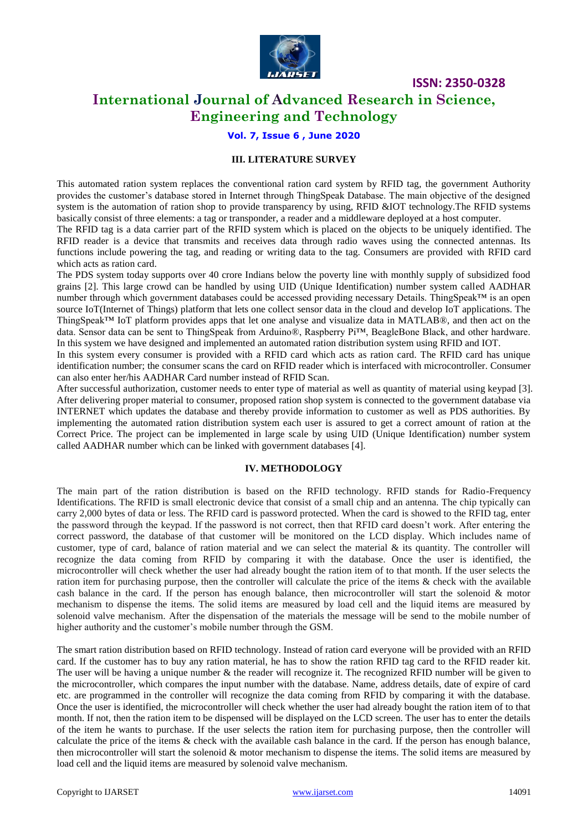

## **International Journal of Advanced Research in Science, Engineering and Technology**

### **Vol. 7, Issue 6 , June 2020**

### **III. LITERATURE SURVEY**

This automated ration system replaces the conventional ration card system by RFID tag, the government Authority provides the customer's database stored in Internet through ThingSpeak Database. The main objective of the designed system is the automation of ration shop to provide transparency by using, RFID &IOT technology. The RFID systems basically consist of three elements: a tag or transponder, a reader and a middleware deployed at a host computer.

The RFID tag is a data carrier part of the RFID system which is placed on the objects to be uniquely identified. The RFID reader is a device that transmits and receives data through radio waves using the connected antennas. Its functions include powering the tag, and reading or writing data to the tag. Consumers are provided with RFID card which acts as ration card.

The PDS system today supports over 40 crore Indians below the poverty line with monthly supply of subsidized food grains [2]. This large crowd can be handled by using UID (Unique Identification) number system called AADHAR number through which government databases could be accessed providing necessary Details. ThingSpeak™ is an open source IoT(Internet of Things) platform that lets one collect sensor data in the cloud and develop IoT applications. The ThingSpeak™ IoT platform provides apps that let one analyse and visualize data in MATLAB®, and then act on the data. Sensor data can be sent to ThingSpeak from Arduino®, Raspberry Pi™, BeagleBone Black, and other hardware. In this system we have designed and implemented an automated ration distribution system using RFID and IOT.

In this system every consumer is provided with a RFID card which acts as ration card. The RFID card has unique identification number; the consumer scans the card on RFID reader which is interfaced with microcontroller. Consumer can also enter her/his AADHAR Card number instead of RFID Scan.

After successful authorization, customer needs to enter type of material as well as quantity of material using keypad [3]. After delivering proper material to consumer, proposed ration shop system is connected to the government database via INTERNET which updates the database and thereby provide information to customer as well as PDS authorities. By implementing the automated ration distribution system each user is assured to get a correct amount of ration at the Correct Price. The project can be implemented in large scale by using UID (Unique Identification) number system called AADHAR number which can be linked with government databases [4].

#### **IV. METHODOLOGY**

The main part of the ration distribution is based on the RFID technology. RFID stands for Radio-Frequency Identifications. The RFID is small electronic device that consist of a small chip and an antenna. The chip typically can carry 2,000 bytes of data or less. The RFID card is password protected. When the card is showed to the RFID tag, enter the password through the keypad. If the password is not correct, then that RFID card doesn't work. After entering the correct password, the database of that customer will be monitored on the LCD display. Which includes name of customer, type of card, balance of ration material and we can select the material & its quantity. The controller will recognize the data coming from RFID by comparing it with the database. Once the user is identified, the microcontroller will check whether the user had already bought the ration item of to that month. If the user selects the ration item for purchasing purpose, then the controller will calculate the price of the items & check with the available cash balance in the card. If the person has enough balance, then microcontroller will start the solenoid & motor mechanism to dispense the items. The solid items are measured by load cell and the liquid items are measured by solenoid valve mechanism. After the dispensation of the materials the message will be send to the mobile number of higher authority and the customer's mobile number through the GSM.

The smart ration distribution based on RFID technology. Instead of ration card everyone will be provided with an RFID card. If the customer has to buy any ration material, he has to show the ration RFID tag card to the RFID reader kit. The user will be having a unique number & the reader will recognize it. The recognized RFID number will be given to the microcontroller, which compares the input number with the database. Name, address details, date of expire of card etc. are programmed in the controller will recognize the data coming from RFID by comparing it with the database. Once the user is identified, the microcontroller will check whether the user had already bought the ration item of to that month. If not, then the ration item to be dispensed will be displayed on the LCD screen. The user has to enter the details of the item he wants to purchase. If the user selects the ration item for purchasing purpose, then the controller will calculate the price of the items & check with the available cash balance in the card. If the person has enough balance, then microcontroller will start the solenoid  $\&$  motor mechanism to dispense the items. The solid items are measured by load cell and the liquid items are measured by solenoid valve mechanism.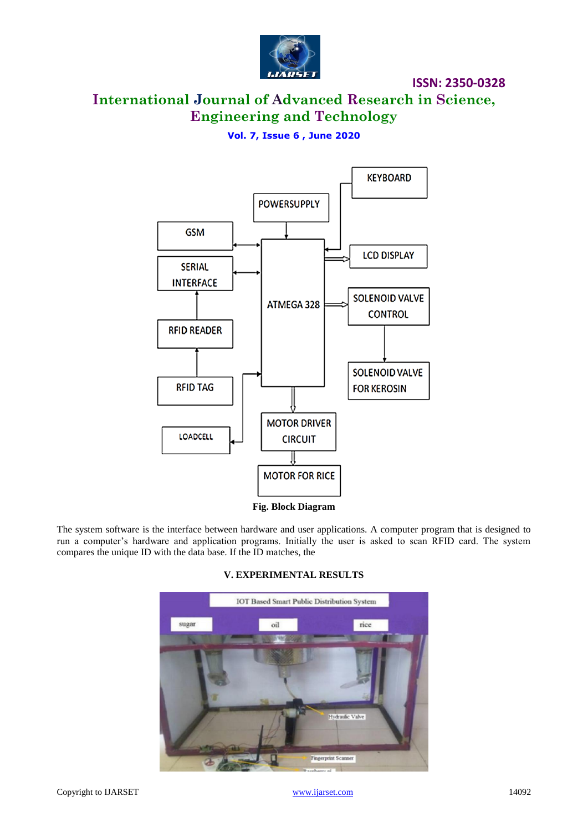

# **International Journal of Advanced Research in Science, Engineering and Technology**

### **Vol. 7, Issue 6 , June 2020**



**Fig. Block Diagram**

The system software is the interface between hardware and user applications. A computer program that is designed to run a computer's hardware and application programs. Initially the user is asked to scan RFID card. The system compares the unique ID with the data base. If the ID matches, the

> **IOT Based Smart Public Distribution System** sugar rice oil Hydraulic Valve Fingerprint Scanner

### **V. EXPERIMENTAL RESULTS**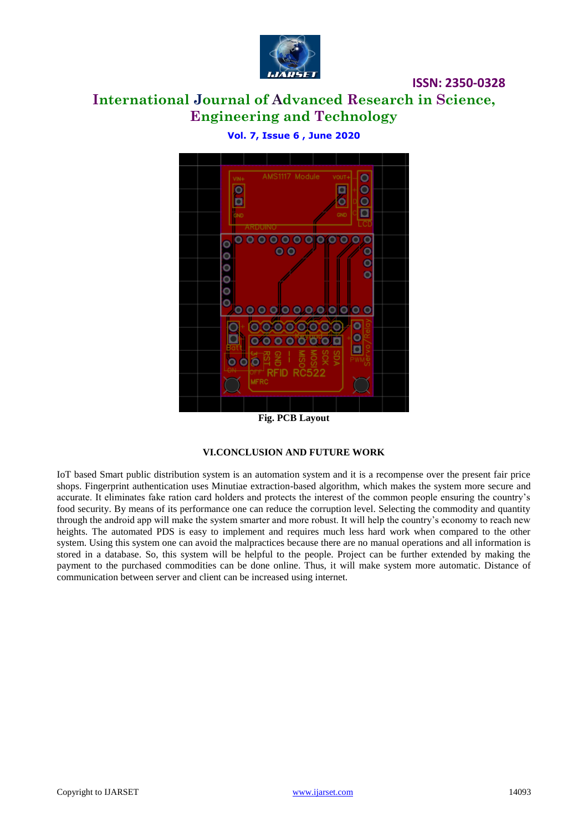

# **International Journal of Advanced Research in Science, Engineering and Technology**

|  | $VIM+$<br>GND | AMS1117 Module                                             |                            | VOUT+<br>₫<br>о<br>GND | 0000          |  |
|--|---------------|------------------------------------------------------------|----------------------------|------------------------|---------------|--|
|  |               | ARDUINO                                                    |                            |                        |               |  |
|  |               | 0000000<br>$\overline{\mathbf{0}}$ $\overline{\mathbf{0}}$ | Ю                          |                        | $\circ$       |  |
|  |               |                                                            |                            |                        | $\frac{0}{0}$ |  |
|  | ,,,,,,        |                                                            |                            |                        |               |  |
|  |               | <u>olo olololo</u>                                         |                            | ю                      |               |  |
|  |               | $\circ$                                                    | 000000<br>00000            | $\frac{0}{0}$          |               |  |
|  |               |                                                            |                            |                        |               |  |
|  |               | ≩<br>RFID                                                  | SCK<br>SOM<br><b>RC522</b> | KOS                    |               |  |
|  | <b>MFRC</b>   |                                                            |                            |                        |               |  |
|  |               |                                                            |                            |                        |               |  |

**Vol. 7, Issue 6 , June 2020**

**Fig. PCB Layout**

### **VI.CONCLUSION AND FUTURE WORK**

IoT based Smart public distribution system is an automation system and it is a recompense over the present fair price shops. Fingerprint authentication uses Minutiae extraction-based algorithm, which makes the system more secure and accurate. It eliminates fake ration card holders and protects the interest of the common people ensuring the country's food security. By means of its performance one can reduce the corruption level. Selecting the commodity and quantity through the android app will make the system smarter and more robust. It will help the country's economy to reach new heights. The automated PDS is easy to implement and requires much less hard work when compared to the other system. Using this system one can avoid the malpractices because there are no manual operations and all information is stored in a database. So, this system will be helpful to the people. Project can be further extended by making the payment to the purchased commodities can be done online. Thus, it will make system more automatic. Distance of communication between server and client can be increased using internet.